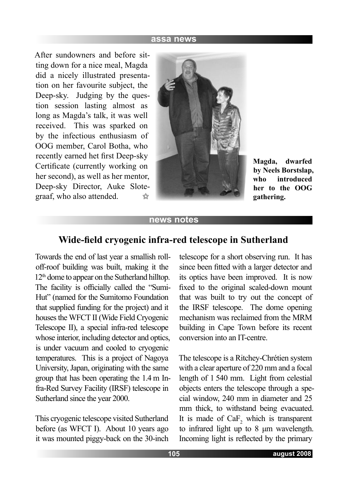#### **assa news**

After sundowners and before sitting down for a nice meal, Magda did a nicely illustrated presentation on her favourite subject, the Deep-sky. Judging by the question session lasting almost as long as Magda's talk, it was well received. This was sparked on by the infectious enthusiasm of OOG member, Carol Botha, who recently earned het first Deep-sky Certificate (currently working on her second), as well as her mentor, Deep-sky Director, Auke Slotegraaf, who also attended.  $5 - 7$ 



**Magda, dwarfed by Neels Borstslap, who introduced her to the OOG gathering.**

#### **news notes**

### **Wide-field cryogenic infra-red telescope in Sutherland**

Towards the end of last year a smallish rolloff-roof building was built, making it the 12<sup>th</sup> dome to appear on the Sutherland hilltop. The facility is officially called the "Sumi-Hut" (named for the Sumitomo Foundation that supplied funding for the project) and it houses the WFCT II (Wide Field Cryogenic Telescope II), a special infra-red telescope whose interior, including detector and optics, is under vacuum and cooled to cryogenic temperatures. This is a project of Nagoya University, Japan, originating with the same group that has been operating the 1.4 m Infra-Red Survey Facility (IRSF) telescope in Sutherland since the year 2000.

This cryogenic telescope visited Sutherland before (as WFCT I). About 10 years ago it was mounted piggy-back on the 30-inch telescope for a short observing run. It has since been fitted with a larger detector and its optics have been improved. It is now fixed to the original scaled-down mount that was built to try out the concept of the IRSF telescope. The dome opening mechanism was reclaimed from the MRM building in Cape Town before its recent conversion into an IT-centre.

The telescope is a Ritchey-Chrétien system with a clear aperture of 220 mm and a focal length of 1 540 mm. Light from celestial objects enters the telescope through a special window, 240 mm in diameter and 25 mm thick, to withstand being evacuated. It is made of  $CaF<sub>2</sub>$  which is transparent to infrared light up to 8 μm wavelength. Incoming light is reflected by the primary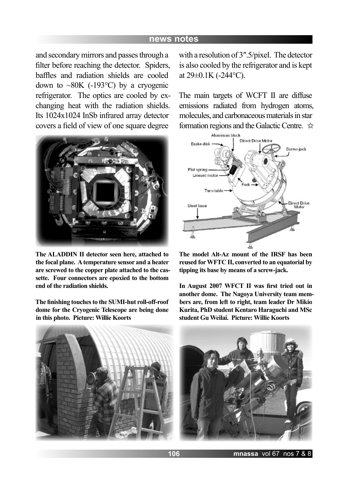#### **news notes**

and secondary mirrors and passes through a filter before reaching the detector. Spiders, baffles and radiation shields are cooled down to  $\sim 80K$  (-193 °C) by a cryogenic refrigerator. The optics are cooled by exchanging heat with the radiation shields. Its 1024x1024 InSb infrared array detector covers a field of view of one square degree



**The ALADDIN II detector seen here, attached to the focal plane. A temperature sensor and a heater are screwed to the copper plate attached to the cassette. Four connectors are epoxied to the bottom end of the radiation shields.**

**The finishing touches to the SUMI-hut roll-off-roof dome for the Cryogenic Telescope are being done in this photo. Picture: Willie Koorts**

with a resolution of 3″.5/pixel. The detector is also cooled by the refrigerator and is kept at  $29\pm0.1$ K (-244 $\degree$ C).

The main targets of WCFT II are diffuse emissions radiated from hydrogen atoms, molecules, and carbonaceous materials in star formation regions and the Galactic Centre.



**The model Alt-Az mount of the IRSF has been reused for WFTC II, converted to an equatorial by tipping its base by means of a screw-jack.**

**In August 2007 WFCT II was first tried out in another dome. The Nagoya University team members are, from left to right, team leader Dr Mikio Kurita, PhD student Kentaro Haraguchi and MSc student Gu Weilai. Picture: Willie Koorts**



**106 mnassa** vol 67 nos 7 & 8 **107 august 2008**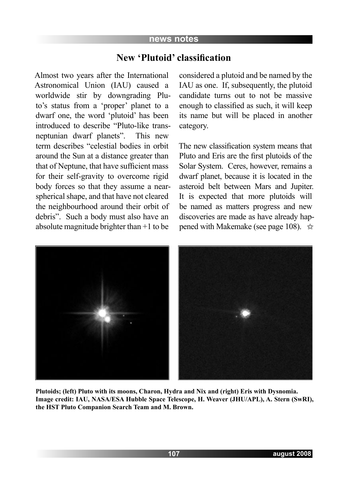#### **news notes**

### **New 'Plutoid' classification**

Almost two years after the International Astronomical Union (IAU) caused a worldwide stir by downgrading Pluto's status from a 'proper' planet to a dwarf one, the word 'plutoid' has been introduced to describe "Pluto-like transneptunian dwarf planets". This new term describes "celestial bodies in orbit around the Sun at a distance greater than that of Neptune, that have sufficient mass for their self-gravity to overcome rigid body forces so that they assume a nearspherical shape, and that have not cleared the neighbourhood around their orbit of debris". Such a body must also have an absolute magnitude brighter than +1 to be

considered a plutoid and be named by the IAU as one. If, subsequently, the plutoid candidate turns out to not be massive enough to classified as such, it will keep its name but will be placed in another category.

The new classification system means that Pluto and Eris are the first plutoids of the Solar System. Ceres, however, remains a dwarf planet, because it is located in the asteroid belt between Mars and Jupiter. It is expected that more plutoids will be named as matters progress and new discoveries are made as have already happened with Makemake (see page 108).  $\dot{\mathbb{Q}}$ 



**Plutoids; (left) Pluto with its moons, Charon, Hydra and Nix and (right) Eris with Dysnomia. Image credit: IAU, NASA/ESA Hubble Space Telescope, H. Weaver (JHU/APL), A. Stern (SwRI), the HST Pluto Companion Search Team and M. Brown.**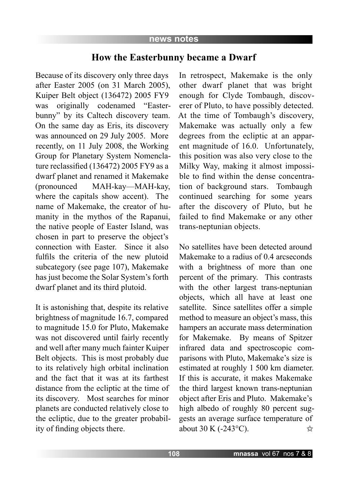### **How the Easterbunny became a Dwarf**

Because of its discovery only three days after Easter 2005 (on 31 March 2005), Kuiper Belt object (136472) 2005 FY9 was originally codenamed "Easterbunny" by its Caltech discovery team. On the same day as Eris, its discovery was announced on 29 July 2005. More recently, on 11 July 2008, the Working Group for Planetary System Nomenclature reclassified (136472) 2005 FY9 as a dwarf planet and renamed it Makemake (pronounced MAH-kay—MAH-kay, where the capitals show accent). The name of Makemake, the creator of humanity in the mythos of the Rapanui, the native people of Easter Island, was chosen in part to preserve the object's connection with Easter. Since it also fulfils the criteria of the new plutoid subcategory (see page 107), Makemake has just become the Solar System's forth dwarf planet and its third plutoid.

It is astonishing that, despite its relative brightness of magnitude 16.7, compared to magnitude 15.0 for Pluto, Makemake was not discovered until fairly recently and well after many much fainter Kuiper Belt objects. This is most probably due to its relatively high orbital inclination and the fact that it was at its farthest distance from the ecliptic at the time of its discovery. Most searches for minor planets are conducted relatively close to the ecliptic, due to the greater probability of finding objects there.

In retrospect, Makemake is the only other dwarf planet that was bright enough for Clyde Tombaugh, discoverer of Pluto, to have possibly detected. At the time of Tombaugh's discovery, Makemake was actually only a few degrees from the ecliptic at an apparent magnitude of 16.0. Unfortunately, this position was also very close to the Milky Way, making it almost impossible to find within the dense concentration of background stars. Tombaugh continued searching for some years after the discovery of Pluto, but he failed to find Makemake or any other trans-neptunian objects.

No satellites have been detected around Makemake to a radius of 0.4 arcseconds with a brightness of more than one percent of the primary. This contrasts with the other largest trans-neptunian objects, which all have at least one satellite. Since satellites offer a simple method to measure an object's mass, this hampers an accurate mass determination for Makemake. By means of Spitzer infrared data and spectroscopic comparisons with Pluto, Makemake's size is estimated at roughly 1 500 km diameter. If this is accurate, it makes Makemake the third largest known trans-neptunian object after Eris and Pluto. Makemake's high albedo of roughly 80 percent suggests an average surface temperature of about 30 K (-243°C).  $\preceq$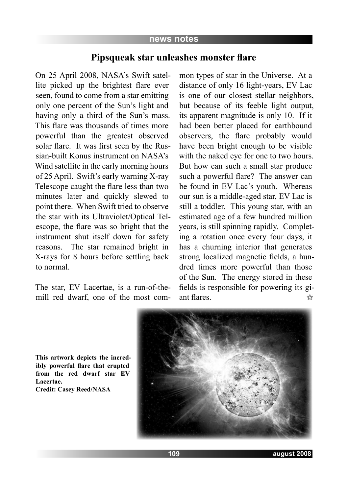# **Pipsqueak star unleashes monster flare**

On 25 April 2008, NASA's Swift satellite picked up the brightest flare ever seen, found to come from a star emitting only one percent of the Sun's light and having only a third of the Sun's mass. This flare was thousands of times more powerful than the greatest observed solar flare. It was first seen by the Russian-built Konus instrument on NASA's Wind satellite in the early morning hours of 25 April. Swift's early warning X-ray Telescope caught the flare less than two minutes later and quickly slewed to point there. When Swift tried to observe the star with its Ultraviolet/Optical Telescope, the flare was so bright that the instrument shut itself down for safety reasons. The star remained bright in X-rays for 8 hours before settling back to normal.

The star, EV Lacertae, is a run-of-themill red dwarf, one of the most com-

mon types of star in the Universe. At a distance of only 16 light-years, EV Lac is one of our closest stellar neighbors, but because of its feeble light output, its apparent magnitude is only 10. If it had been better placed for earthbound observers, the flare probably would have been bright enough to be visible with the naked eye for one to two hours. But how can such a small star produce such a powerful flare? The answer can be found in EV Lac's youth. Whereas our sun is a middle-aged star, EV Lac is still a toddler. This young star, with an estimated age of a few hundred million years, is still spinning rapidly. Completing a rotation once every four days, it has a churning interior that generates strong localized magnetic fields, a hundred times more powerful than those of the Sun. The energy stored in these fields is responsible for powering its giant flares.



**This artwork depicts the incredibly powerful flare that erupted from the red dwarf star EV Lacertae.** 

**Credit: Casey Reed/NASA**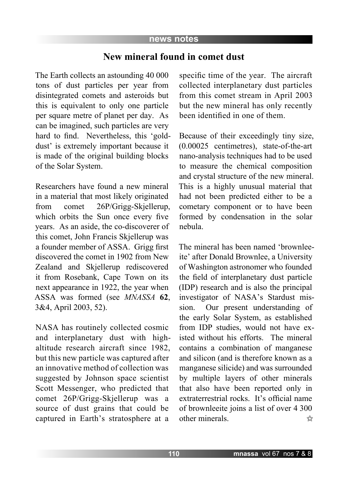### **New mineral found in comet dust**

The Earth collects an astounding 40 000 tons of dust particles per year from disintegrated comets and asteroids but this is equivalent to only one particle per square metre of planet per day. As can be imagined, such particles are very hard to find. Nevertheless, this 'golddust' is extremely important because it is made of the original building blocks of the Solar System.

Researchers have found a new mineral in a material that most likely originated from comet 26P/Grigg-Skjellerup, which orbits the Sun once every five years. As an aside, the co-discoverer of this comet, John Francis Skjellerup was a founder member of ASSA. Grigg first discovered the comet in 1902 from New Zealand and Skjellerup rediscovered it from Rosebank, Cape Town on its next appearance in 1922, the year when ASSA was formed (see *MNASSA* **62**, 3&4, April 2003, 52).

NASA has routinely collected cosmic and interplanetary dust with highaltitude research aircraft since 1982, but this new particle was captured after an innovative method of collection was suggested by Johnson space scientist Scott Messenger, who predicted that comet 26P/Grigg-Skjellerup was a source of dust grains that could be captured in Earth's stratosphere at a

specific time of the year. The aircraft collected interplanetary dust particles from this comet stream in April 2003 but the new mineral has only recently been identified in one of them.

Because of their exceedingly tiny size, (0.00025 centimetres), state-of-the-art nano-analysis techniques had to be used to measure the chemical composition and crystal structure of the new mineral. This is a highly unusual material that had not been predicted either to be a cometary component or to have been formed by condensation in the solar nebula.

The mineral has been named 'brownleeite' after Donald Brownlee, a University of Washington astronomer who founded the field of interplanetary dust particle (IDP) research and is also the principal investigator of NASA's Stardust mission. Our present understanding of the early Solar System, as established from IDP studies, would not have existed without his efforts. The mineral contains a combination of manganese and silicon (and is therefore known as a manganese silicide) and was surrounded by multiple layers of other minerals that also have been reported only in extraterrestrial rocks. It's official name of brownleeite joins a list of over 4 300 other minerals. ☆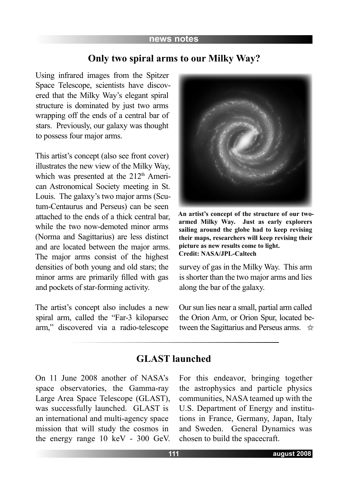#### **news notes**

# **Only two spiral arms to our Milky Way?**

Using infrared images from the Spitzer Space Telescope, scientists have discovered that the Milky Way's elegant spiral structure is dominated by just two arms wrapping off the ends of a central bar of stars. Previously, our galaxy was thought to possess four major arms.

This artist's concept (also see front cover) illustrates the new view of the Milky Way, which was presented at the 212<sup>th</sup> American Astronomical Society meeting in St. Louis. The galaxy's two major arms (Scutum-Centaurus and Perseus) can be seen attached to the ends of a thick central bar, while the two now-demoted minor arms (Norma and Sagittarius) are less distinct and are located between the major arms. The major arms consist of the highest densities of both young and old stars; the minor arms are primarily filled with gas and pockets of star-forming activity.

The artist's concept also includes a new spiral arm, called the "Far-3 kiloparsec arm," discovered via a radio-telescope



**An artist's concept of the structure of our twoarmed Milky Way. Just as early explorers sailing around the globe had to keep revising their maps, researchers will keep revising their picture as new results come to light. Credit: NASA/JPL-Caltech**

survey of gas in the Milky Way. This arm is shorter than the two major arms and lies along the bar of the galaxy.

Our sun lies near a small, partial arm called the Orion Arm, or Orion Spur, located between the Sagittarius and Perseus arms.  $\vec{\infty}$ 

# **GLAST launched**

On 11 June 2008 another of NASA's space observatories, the Gamma-ray Large Area Space Telescope (GLAST), was successfully launched. GLAST is an international and multi-agency space mission that will study the cosmos in the energy range 10 keV - 300 GeV.

For this endeavor, bringing together the astrophysics and particle physics communities, NASA teamed up with the U.S. Department of Energy and institutions in France, Germany, Japan, Italy and Sweden. General Dynamics was chosen to build the spacecraft.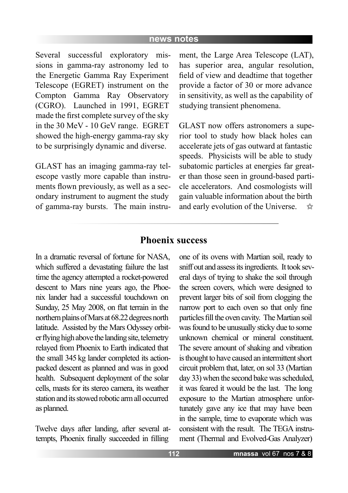Several successful exploratory missions in gamma-ray astronomy led to the Energetic Gamma Ray Experiment Telescope (EGRET) instrument on the Compton Gamma Ray Observatory (CGRO). Launched in 1991, EGRET made the first complete survey of the sky in the 30 MeV - 10 GeV range. EGRET showed the high-energy gamma-ray sky to be surprisingly dynamic and diverse.

GLAST has an imaging gamma-ray telescope vastly more capable than instruments flown previously, as well as a secondary instrument to augment the study of gamma-ray bursts. The main instrument, the Large Area Telescope (LAT), has superior area, angular resolution, field of view and deadtime that together provide a factor of 30 or more advance in sensitivity, as well as the capability of studying transient phenomena.

GLAST now offers astronomers a superior tool to study how black holes can accelerate jets of gas outward at fantastic speeds. Physicists will be able to study subatomic particles at energies far greater than those seen in ground-based particle accelerators. And cosmologists will gain valuable information about the birth and early evolution of the Universe.  $52$ 

### **Phoenix success**

In a dramatic reversal of fortune for NASA, which suffered a devastating failure the last time the agency attempted a rocket-powered descent to Mars nine years ago, the Phoenix lander had a successful touchdown on Sunday, 25 May 2008, on flat terrain in the northern plains of Mars at 68.22 degrees north latitude. Assisted by the Mars Odyssey orbiter flying high above the landing site, telemetry relayed from Phoenix to Earth indicated that the small 345 kg lander completed its actionpacked descent as planned and was in good health. Subsequent deployment of the solar cells, masts for its stereo camera, its weather station and its stowed robotic arm all occurred as planned.

Twelve days after landing, after several attempts, Phoenix finally succeeded in filling

one of its ovens with Martian soil, ready to sniff out and assess its ingredients. It took several days of trying to shake the soil through the screen covers, which were designed to prevent larger bits of soil from clogging the narrow port to each oven so that only fine particles fill the oven cavity. The Martian soil was found to be unusually sticky due to some unknown chemical or mineral constituent. The severe amount of shaking and vibration is thought to have caused an intermittent short circuit problem that, later, on sol 33 (Martian day 33) when the second bake was scheduled, it was feared it would be the last. The long exposure to the Martian atmosphere unfortunately gave any ice that may have been in the sample, time to evaporate which was consistent with the result. The TEGA instrument (Thermal and Evolved-Gas Analyzer)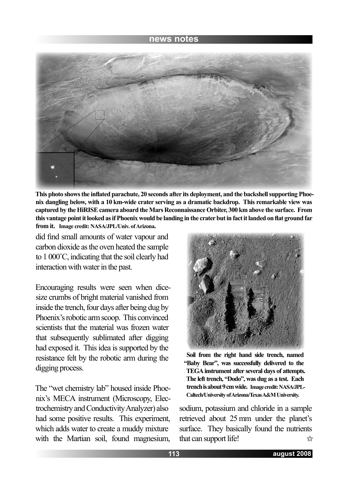

**This photo shows the inflated parachute, 20 seconds after its deployment, and the backshell supporting Phoenix dangling below, with a 10 km-wide crater serving as a dramatic backdrop. This remarkable view was captured by the HiRISE camera aboard the Mars Reconnaissance Orbiter, 300 km above the surface. From this vantage point it looked as if Phoenix would be landing in the crater but in fact it landed on flat ground far from it. Image credit: NASA/JPL/Univ. of Arizona.**

did find small amounts of water vapour and carbon dioxide as the oven heated the sample to 1 000˚C, indicating that the soil clearly had interaction with water in the past.

Encouraging results were seen when dicesize crumbs of bright material vanished from inside the trench, four days after being dug by Phoenix's robotic arm scoop. This convinced scientists that the material was frozen water that subsequently sublimated after digging had exposed it. This idea is supported by the resistance felt by the robotic arm during the digging process.

The "wet chemistry lab" housed inside Phoenix's MECA instrument (Microscopy, Electrochemistry and Conductivity Analyzer) also had some positive results. This experiment, which adds water to create a muddy mixture with the Martian soil, found magnesium,



**Soil from the right hand side trench, named "Baby Bear", was successfully delivered to the TEGA instrument after several days of attempts. The left trench, "Dodo", was dug as a test. Each trench is about 9 cm wide. Image credit: NASA/JPL-Caltech/University of Arizona/Texas A&M University.**

sodium, potassium and chloride in a sample retrieved about 25 mm under the planet's surface. They basically found the nutrients that can support life!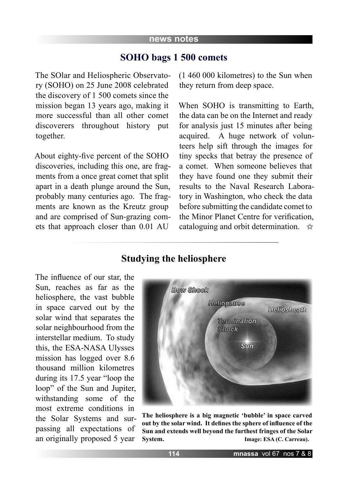# **SOHO bags 1 500 comets**

The SOlar and Heliospheric Observatory (SOHO) on 25 June 2008 celebrated the discovery of 1 500 comets since the mission began 13 years ago, making it more successful than all other comet discoverers throughout history put together.

About eighty-five percent of the SOHO discoveries, including this one, are fragments from a once great comet that split apart in a death plunge around the Sun, probably many centuries ago. The fragments are known as the Kreutz group and are comprised of Sun-grazing comets that approach closer than 0.01 AU

(1 460 000 kilometres) to the Sun when they return from deep space.

When SOHO is transmitting to Earth, the data can be on the Internet and ready for analysis just 15 minutes after being acquired. A huge network of volunteers help sift through the images for tiny specks that betray the presence of a comet. When someone believes that they have found one they submit their results to the Naval Research Laboratory in Washington, who check the data before submitting the candidate comet to the Minor Planet Centre for verification, cataloguing and orbit determination.  $\vec{\mathbf{x}}$ 

# **Studying the heliosphere**

The influence of our star, the Sun, reaches as far as the heliosphere, the vast bubble in space carved out by the solar wind that separates the solar neighbourhood from the interstellar medium. To study this, the ESA-NASA Ulysses mission has logged over 8.6 thousand million kilometres during its 17.5 year "loop the loop" of the Sun and Jupiter, withstanding some of the most extreme conditions in the Solar Systems and surpassing all expectations of an originally proposed 5 year



**The heliosphere is a big magnetic 'bubble' in space carved out by the solar wind. It defines the sphere of influence of the Sun and extends well beyond the furthest fringes of the Solar System.** Image: ESA (C. Carreau).